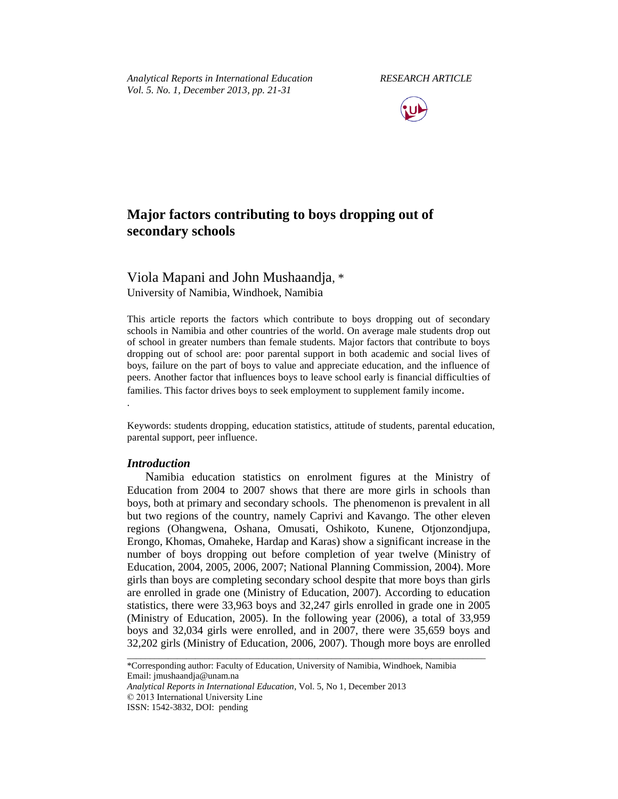*Analytical Reports in International Education RESEARCH ARTICLE Vol. 5. No. 1, December 2013, pp. 21-31*



# **Major factors contributing to boys dropping out of secondary schools**

## Viola Mapani and John Mushaandja, \* University of Namibia, Windhoek, Namibia

This article reports the factors which contribute to boys dropping out of secondary schools in Namibia and other countries of the world. On average male students drop out of school in greater numbers than female students. Major factors that contribute to boys dropping out of school are: poor parental support in both academic and social lives of boys, failure on the part of boys to value and appreciate education, and the influence of peers. Another factor that influences boys to leave school early is financial difficulties of families. This factor drives boys to seek employment to supplement family income.

Keywords: students dropping, education statistics, attitude of students, parental education, parental support, peer influence.

## *Introduction*

.

Namibia education statistics on enrolment figures at the Ministry of Education from 2004 to 2007 shows that there are more girls in schools than boys, both at primary and secondary schools. The phenomenon is prevalent in all but two regions of the country, namely Caprivi and Kavango. The other eleven regions (Ohangwena, Oshana, Omusati, Oshikoto, Kunene, Otjonzondjupa, Erongo, Khomas, Omaheke, Hardap and Karas) show a significant increase in the number of boys dropping out before completion of year twelve (Ministry of Education, 2004, 2005, 2006, 2007; National Planning Commission, 2004). More girls than boys are completing secondary school despite that more boys than girls are enrolled in grade one (Ministry of Education, 2007). According to education statistics, there were 33,963 boys and 32,247 girls enrolled in grade one in 2005 (Ministry of Education, 2005). In the following year (2006), a total of 33,959 boys and 32,034 girls were enrolled, and in 2007, there were 35,659 boys and 32,202 girls (Ministry of Education, 2006, 2007). Though more boys are enrolled

\_\_\_\_\_\_\_\_\_\_\_\_\_\_\_\_\_\_\_\_\_\_\_\_\_\_\_\_\_\_\_\_\_\_\_\_\_\_\_\_\_\_\_\_\_\_\_\_\_\_\_\_\_\_\_\_\_\_\_\_\_\_\_\_\_\_\_\_\_\_\_\_\_\_\_\_\_\_\_

*Analytical Reports in International Education*, Vol. 5, No 1, December 2013 © 2013 International University Line

<sup>\*</sup>Corresponding author: Faculty of Education, University of Namibia, Windhoek, Namibia Email: jmushaandja@unam.na

ISSN: 1542-3832, DOI: pending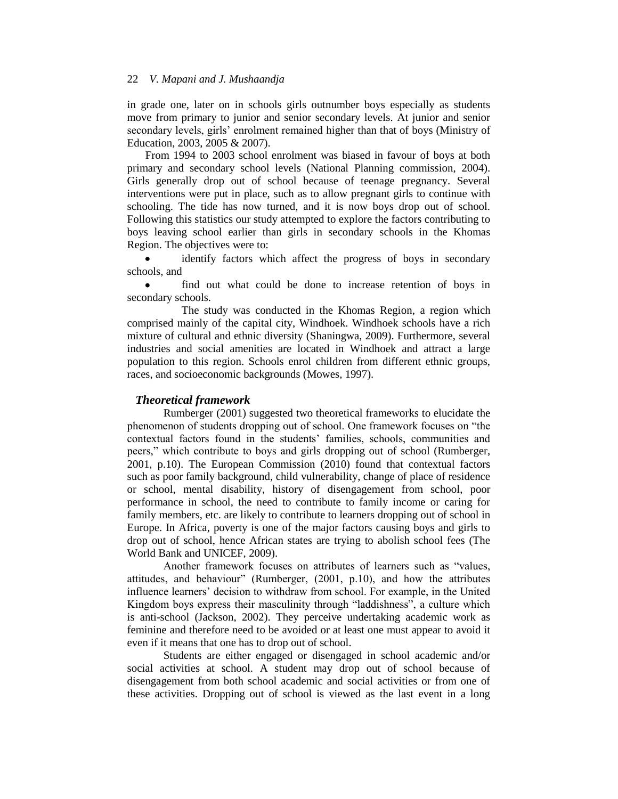in grade one, later on in schools girls outnumber boys especially as students move from primary to junior and senior secondary levels. At junior and senior secondary levels, girls' enrolment remained higher than that of boys (Ministry of Education, 2003, 2005 & 2007).

From 1994 to 2003 school enrolment was biased in favour of boys at both primary and secondary school levels (National Planning commission, 2004). Girls generally drop out of school because of teenage pregnancy. Several interventions were put in place, such as to allow pregnant girls to continue with schooling. The tide has now turned, and it is now boys drop out of school. Following this statistics our study attempted to explore the factors contributing to boys leaving school earlier than girls in secondary schools in the Khomas Region. The objectives were to:

identify factors which affect the progress of boys in secondary  $\bullet$ schools, and

find out what could be done to increase retention of boys in secondary schools.

The study was conducted in the Khomas Region, a region which comprised mainly of the capital city, Windhoek. Windhoek schools have a rich mixture of cultural and ethnic diversity (Shaningwa, 2009). Furthermore, several industries and social amenities are located in Windhoek and attract a large population to this region. Schools enrol children from different ethnic groups, races, and socioeconomic backgrounds (Mowes, 1997).

## *Theoretical framework*

Rumberger (2001) suggested two theoretical frameworks to elucidate the phenomenon of students dropping out of school. One framework focuses on "the contextual factors found in the students' families, schools, communities and peers," which contribute to boys and girls dropping out of school (Rumberger, 2001, p.10). The European Commission (2010) found that contextual factors such as poor family background, child vulnerability, change of place of residence or school, mental disability, history of disengagement from school, poor performance in school, the need to contribute to family income or caring for family members, etc. are likely to contribute to learners dropping out of school in Europe. In Africa, poverty is one of the major factors causing boys and girls to drop out of school, hence African states are trying to abolish school fees (The World Bank and UNICEF, 2009).

Another framework focuses on attributes of learners such as "values, attitudes, and behaviour" (Rumberger, (2001, p.10), and how the attributes influence learners' decision to withdraw from school. For example, in the United Kingdom boys express their masculinity through "laddishness", a culture which is anti-school (Jackson, 2002). They perceive undertaking academic work as feminine and therefore need to be avoided or at least one must appear to avoid it even if it means that one has to drop out of school.

Students are either engaged or disengaged in school academic and/or social activities at school. A student may drop out of school because of disengagement from both school academic and social activities or from one of these activities. Dropping out of school is viewed as the last event in a long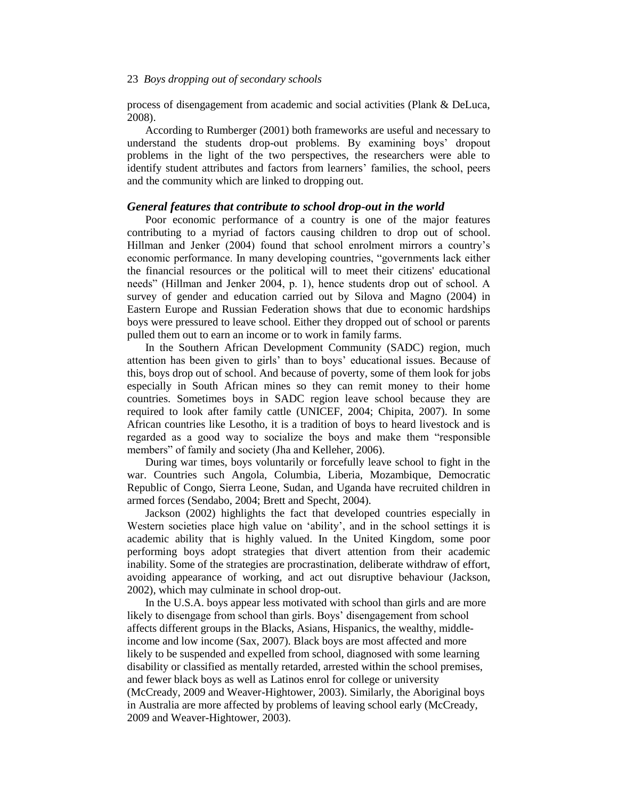process of disengagement from academic and social activities (Plank & DeLuca, 2008).

According to Rumberger (2001) both frameworks are useful and necessary to understand the students drop-out problems. By examining boys' dropout problems in the light of the two perspectives, the researchers were able to identify student attributes and factors from learners' families, the school, peers and the community which are linked to dropping out.

#### *General features that contribute to school drop-out in the world*

Poor economic performance of a country is one of the major features contributing to a myriad of factors causing children to drop out of school. Hillman and Jenker (2004) found that school enrolment mirrors a country's economic performance. In many developing countries, "governments lack either the financial resources or the political will to meet their citizens' educational needs" (Hillman and Jenker 2004, p. 1), hence students drop out of school. A survey of gender and education carried out by Silova and Magno (2004) in Eastern Europe and Russian Federation shows that due to economic hardships boys were pressured to leave school. Either they dropped out of school or parents pulled them out to earn an income or to work in family farms.

In the Southern African Development Community (SADC) region, much attention has been given to girls' than to boys' educational issues. Because of this, boys drop out of school. And because of poverty, some of them look for jobs especially in South African mines so they can remit money to their home countries. Sometimes boys in SADC region leave school because they are required to look after family cattle (UNICEF, 2004; Chipita, 2007). In some African countries like Lesotho, it is a tradition of boys to heard livestock and is regarded as a good way to socialize the boys and make them "responsible members" of family and society (Jha and Kelleher, 2006).

During war times, boys voluntarily or forcefully leave school to fight in the war. Countries such Angola, Columbia, Liberia, Mozambique, Democratic Republic of Congo, Sierra Leone, Sudan, and Uganda have recruited children in armed forces (Sendabo, 2004; Brett and Specht, 2004).

Jackson (2002) highlights the fact that developed countries especially in Western societies place high value on 'ability', and in the school settings it is academic ability that is highly valued. In the United Kingdom, some poor performing boys adopt strategies that divert attention from their academic inability. Some of the strategies are procrastination, deliberate withdraw of effort, avoiding appearance of working, and act out disruptive behaviour (Jackson, 2002), which may culminate in school drop-out.

In the U.S.A. boys appear less motivated with school than girls and are more likely to disengage from school than girls. Boys' disengagement from school affects different groups in the Blacks, Asians, Hispanics, the wealthy, middleincome and low income (Sax, 2007). Black boys are most affected and more likely to be suspended and expelled from school, diagnosed with some learning disability or classified as mentally retarded, arrested within the school premises, and fewer black boys as well as Latinos enrol for college or university (McCready, 2009 and Weaver-Hightower, 2003). Similarly, the Aboriginal boys in Australia are more affected by problems of leaving school early (McCready, 2009 and Weaver-Hightower, 2003).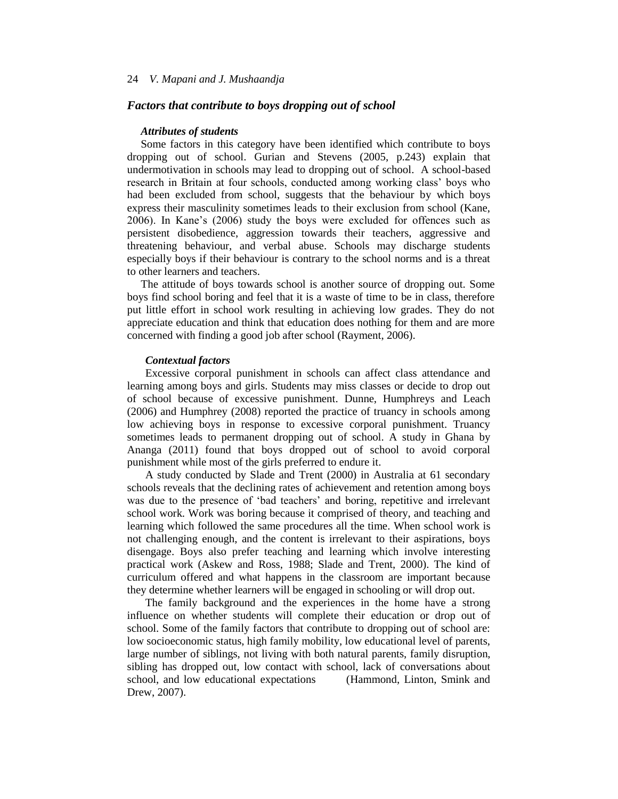## *Factors that contribute to boys dropping out of school*

#### *Attributes of students*

Some factors in this category have been identified which contribute to boys dropping out of school. Gurian and Stevens (2005, p.243) explain that undermotivation in schools may lead to dropping out of school. A school-based research in Britain at four schools, conducted among working class' boys who had been excluded from school, suggests that the behaviour by which boys express their masculinity sometimes leads to their exclusion from school (Kane, 2006). In Kane's (2006) study the boys were excluded for offences such as persistent disobedience, aggression towards their teachers, aggressive and threatening behaviour, and verbal abuse. Schools may discharge students especially boys if their behaviour is contrary to the school norms and is a threat to other learners and teachers.

The attitude of boys towards school is another source of dropping out. Some boys find school boring and feel that it is a waste of time to be in class, therefore put little effort in school work resulting in achieving low grades. They do not appreciate education and think that education does nothing for them and are more concerned with finding a good job after school (Rayment, 2006).

#### *Contextual factors*

Excessive corporal punishment in schools can affect class attendance and learning among boys and girls. Students may miss classes or decide to drop out of school because of excessive punishment. Dunne, Humphreys and Leach (2006) and Humphrey (2008) reported the practice of truancy in schools among low achieving boys in response to excessive corporal punishment. Truancy sometimes leads to permanent dropping out of school. A study in Ghana by Ananga (2011) found that boys dropped out of school to avoid corporal punishment while most of the girls preferred to endure it.

A study conducted by Slade and Trent (2000) in Australia at 61 secondary schools reveals that the declining rates of achievement and retention among boys was due to the presence of 'bad teachers' and boring, repetitive and irrelevant school work. Work was boring because it comprised of theory, and teaching and learning which followed the same procedures all the time. When school work is not challenging enough, and the content is irrelevant to their aspirations, boys disengage. Boys also prefer teaching and learning which involve interesting practical work (Askew and Ross, 1988; Slade and Trent, 2000). The kind of curriculum offered and what happens in the classroom are important because they determine whether learners will be engaged in schooling or will drop out.

The family background and the experiences in the home have a strong influence on whether students will complete their education or drop out of school. Some of the family factors that contribute to dropping out of school are: low socioeconomic status, high family mobility, low educational level of parents, large number of siblings, not living with both natural parents, family disruption, sibling has dropped out, low contact with school, lack of conversations about school, and low educational expectations (Hammond, Linton, Smink and Drew, 2007).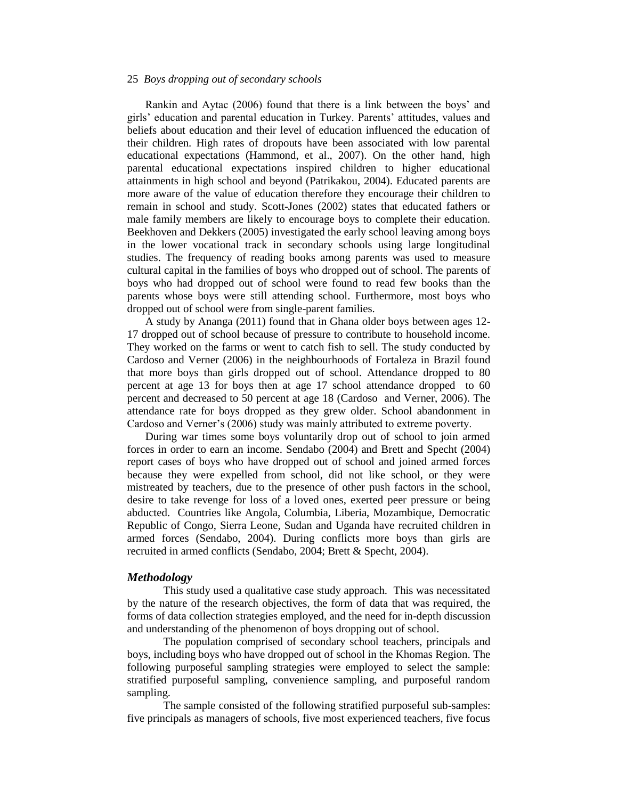Rankin and Aytac (2006) found that there is a link between the boys' and girls' education and parental education in Turkey. Parents' attitudes, values and beliefs about education and their level of education influenced the education of their children. High rates of dropouts have been associated with low parental educational expectations (Hammond, et al., 2007). On the other hand, high parental educational expectations inspired children to higher educational attainments in high school and beyond (Patrikakou, 2004). Educated parents are more aware of the value of education therefore they encourage their children to remain in school and study. Scott-Jones (2002) states that educated fathers or male family members are likely to encourage boys to complete their education. Beekhoven and Dekkers (2005) investigated the early school leaving among boys in the lower vocational track in secondary schools using large longitudinal studies. The frequency of reading books among parents was used to measure cultural capital in the families of boys who dropped out of school. The parents of boys who had dropped out of school were found to read few books than the parents whose boys were still attending school. Furthermore, most boys who dropped out of school were from single-parent families.

A study by Ananga (2011) found that in Ghana older boys between ages 12- 17 dropped out of school because of pressure to contribute to household income. They worked on the farms or went to catch fish to sell. The study conducted by Cardoso and Verner (2006) in the neighbourhoods of Fortaleza in Brazil found that more boys than girls dropped out of school. Attendance dropped to 80 percent at age 13 for boys then at age 17 school attendance dropped to 60 percent and decreased to 50 percent at age 18 (Cardoso and Verner, 2006). The attendance rate for boys dropped as they grew older. School abandonment in Cardoso and Verner's (2006) study was mainly attributed to extreme poverty.

During war times some boys voluntarily drop out of school to join armed forces in order to earn an income. Sendabo (2004) and Brett and Specht (2004) report cases of boys who have dropped out of school and joined armed forces because they were expelled from school, did not like school, or they were mistreated by teachers, due to the presence of other push factors in the school, desire to take revenge for loss of a loved ones, exerted peer pressure or being abducted. Countries like Angola, Columbia, Liberia, Mozambique, Democratic Republic of Congo, Sierra Leone, Sudan and Uganda have recruited children in armed forces (Sendabo, 2004). During conflicts more boys than girls are recruited in armed conflicts (Sendabo, 2004; Brett & Specht, 2004).

#### *Methodology*

This study used a qualitative case study approach. This was necessitated by the nature of the research objectives, the form of data that was required, the forms of data collection strategies employed, and the need for in-depth discussion and understanding of the phenomenon of boys dropping out of school.

The population comprised of secondary school teachers, principals and boys, including boys who have dropped out of school in the Khomas Region. The following purposeful sampling strategies were employed to select the sample: stratified purposeful sampling, convenience sampling, and purposeful random sampling.

The sample consisted of the following stratified purposeful sub-samples: five principals as managers of schools, five most experienced teachers, five focus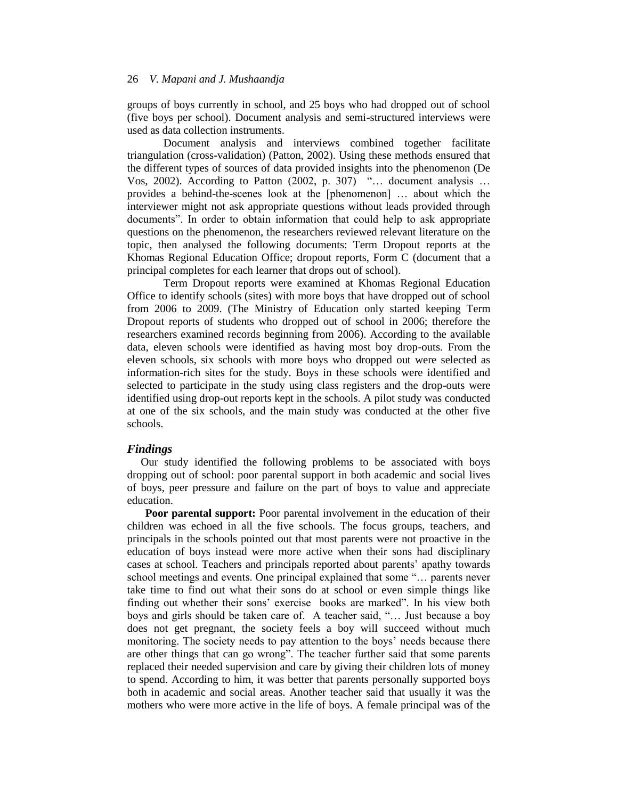groups of boys currently in school, and 25 boys who had dropped out of school (five boys per school). Document analysis and semi-structured interviews were used as data collection instruments.

Document analysis and interviews combined together facilitate triangulation (cross-validation) (Patton, 2002). Using these methods ensured that the different types of sources of data provided insights into the phenomenon (De Vos, 2002). According to Patton (2002, p. 307) "… document analysis … provides a behind-the-scenes look at the [phenomenon] … about which the interviewer might not ask appropriate questions without leads provided through documents". In order to obtain information that could help to ask appropriate questions on the phenomenon, the researchers reviewed relevant literature on the topic, then analysed the following documents: Term Dropout reports at the Khomas Regional Education Office; dropout reports, Form C (document that a principal completes for each learner that drops out of school).

Term Dropout reports were examined at Khomas Regional Education Office to identify schools (sites) with more boys that have dropped out of school from 2006 to 2009. (The Ministry of Education only started keeping Term Dropout reports of students who dropped out of school in 2006; therefore the researchers examined records beginning from 2006). According to the available data, eleven schools were identified as having most boy drop-outs. From the eleven schools, six schools with more boys who dropped out were selected as information-rich sites for the study. Boys in these schools were identified and selected to participate in the study using class registers and the drop-outs were identified using drop-out reports kept in the schools. A pilot study was conducted at one of the six schools, and the main study was conducted at the other five schools.

#### *Findings*

Our study identified the following problems to be associated with boys dropping out of school: poor parental support in both academic and social lives of boys, peer pressure and failure on the part of boys to value and appreciate education.

**Poor parental support:** Poor parental involvement in the education of their children was echoed in all the five schools. The focus groups, teachers, and principals in the schools pointed out that most parents were not proactive in the education of boys instead were more active when their sons had disciplinary cases at school. Teachers and principals reported about parents' apathy towards school meetings and events. One principal explained that some "… parents never take time to find out what their sons do at school or even simple things like finding out whether their sons' exercise books are marked". In his view both boys and girls should be taken care of. A teacher said, "… Just because a boy does not get pregnant, the society feels a boy will succeed without much monitoring. The society needs to pay attention to the boys' needs because there are other things that can go wrong". The teacher further said that some parents replaced their needed supervision and care by giving their children lots of money to spend. According to him, it was better that parents personally supported boys both in academic and social areas. Another teacher said that usually it was the mothers who were more active in the life of boys. A female principal was of the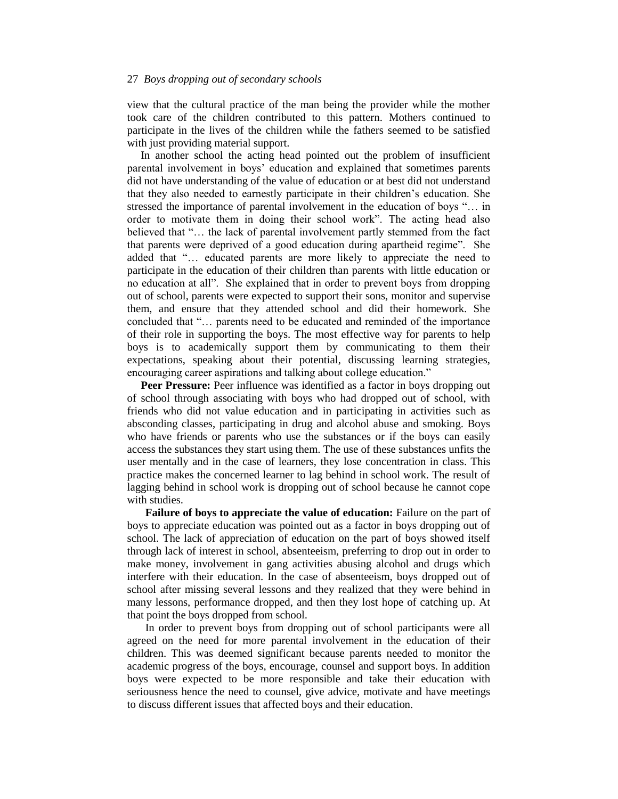view that the cultural practice of the man being the provider while the mother took care of the children contributed to this pattern. Mothers continued to participate in the lives of the children while the fathers seemed to be satisfied with just providing material support.

In another school the acting head pointed out the problem of insufficient parental involvement in boys' education and explained that sometimes parents did not have understanding of the value of education or at best did not understand that they also needed to earnestly participate in their children's education. She stressed the importance of parental involvement in the education of boys "… in order to motivate them in doing their school work". The acting head also believed that "… the lack of parental involvement partly stemmed from the fact that parents were deprived of a good education during apartheid regime". She added that "… educated parents are more likely to appreciate the need to participate in the education of their children than parents with little education or no education at all". She explained that in order to prevent boys from dropping out of school, parents were expected to support their sons, monitor and supervise them, and ensure that they attended school and did their homework. She concluded that "… parents need to be educated and reminded of the importance of their role in supporting the boys. The most effective way for parents to help boys is to academically support them by communicating to them their expectations, speaking about their potential, discussing learning strategies, encouraging career aspirations and talking about college education."

**Peer Pressure:** Peer influence was identified as a factor in boys dropping out of school through associating with boys who had dropped out of school, with friends who did not value education and in participating in activities such as absconding classes, participating in drug and alcohol abuse and smoking. Boys who have friends or parents who use the substances or if the boys can easily access the substances they start using them. The use of these substances unfits the user mentally and in the case of learners, they lose concentration in class. This practice makes the concerned learner to lag behind in school work. The result of lagging behind in school work is dropping out of school because he cannot cope with studies.

**Failure of boys to appreciate the value of education:** Failure on the part of boys to appreciate education was pointed out as a factor in boys dropping out of school. The lack of appreciation of education on the part of boys showed itself through lack of interest in school, absenteeism, preferring to drop out in order to make money, involvement in gang activities abusing alcohol and drugs which interfere with their education. In the case of absenteeism, boys dropped out of school after missing several lessons and they realized that they were behind in many lessons, performance dropped, and then they lost hope of catching up. At that point the boys dropped from school.

In order to prevent boys from dropping out of school participants were all agreed on the need for more parental involvement in the education of their children. This was deemed significant because parents needed to monitor the academic progress of the boys, encourage, counsel and support boys. In addition boys were expected to be more responsible and take their education with seriousness hence the need to counsel, give advice, motivate and have meetings to discuss different issues that affected boys and their education.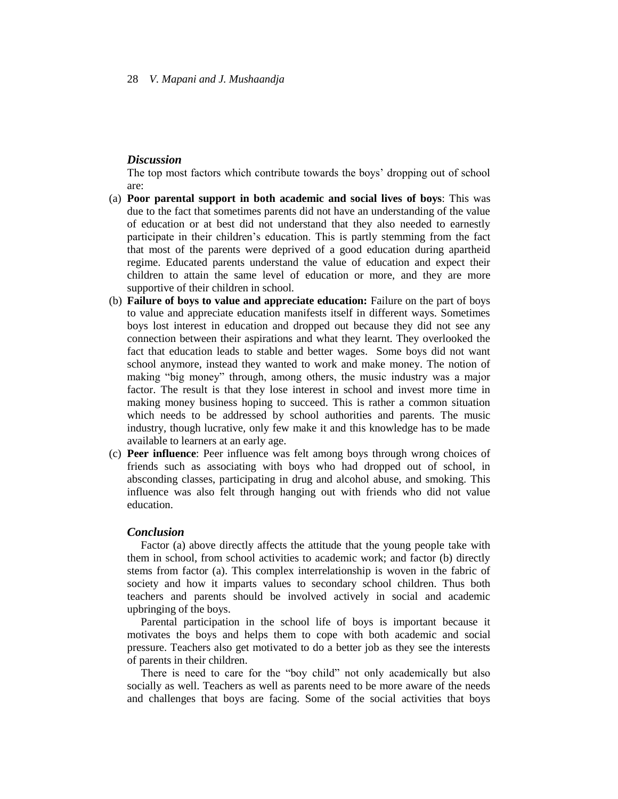## *Discussion*

The top most factors which contribute towards the boys' dropping out of school are:

- (a) **Poor parental support in both academic and social lives of boys**: This was due to the fact that sometimes parents did not have an understanding of the value of education or at best did not understand that they also needed to earnestly participate in their children's education. This is partly stemming from the fact that most of the parents were deprived of a good education during apartheid regime. Educated parents understand the value of education and expect their children to attain the same level of education or more, and they are more supportive of their children in school.
- (b) **Failure of boys to value and appreciate education:** Failure on the part of boys to value and appreciate education manifests itself in different ways. Sometimes boys lost interest in education and dropped out because they did not see any connection between their aspirations and what they learnt. They overlooked the fact that education leads to stable and better wages. Some boys did not want school anymore, instead they wanted to work and make money. The notion of making "big money" through, among others, the music industry was a major factor. The result is that they lose interest in school and invest more time in making money business hoping to succeed. This is rather a common situation which needs to be addressed by school authorities and parents. The music industry, though lucrative, only few make it and this knowledge has to be made available to learners at an early age.
- (c) **Peer influence**: Peer influence was felt among boys through wrong choices of friends such as associating with boys who had dropped out of school, in absconding classes, participating in drug and alcohol abuse, and smoking. This influence was also felt through hanging out with friends who did not value education.

## *Conclusion*

Factor (a) above directly affects the attitude that the young people take with them in school, from school activities to academic work; and factor (b) directly stems from factor (a). This complex interrelationship is woven in the fabric of society and how it imparts values to secondary school children. Thus both teachers and parents should be involved actively in social and academic upbringing of the boys.

Parental participation in the school life of boys is important because it motivates the boys and helps them to cope with both academic and social pressure. Teachers also get motivated to do a better job as they see the interests of parents in their children.

There is need to care for the "boy child" not only academically but also socially as well. Teachers as well as parents need to be more aware of the needs and challenges that boys are facing. Some of the social activities that boys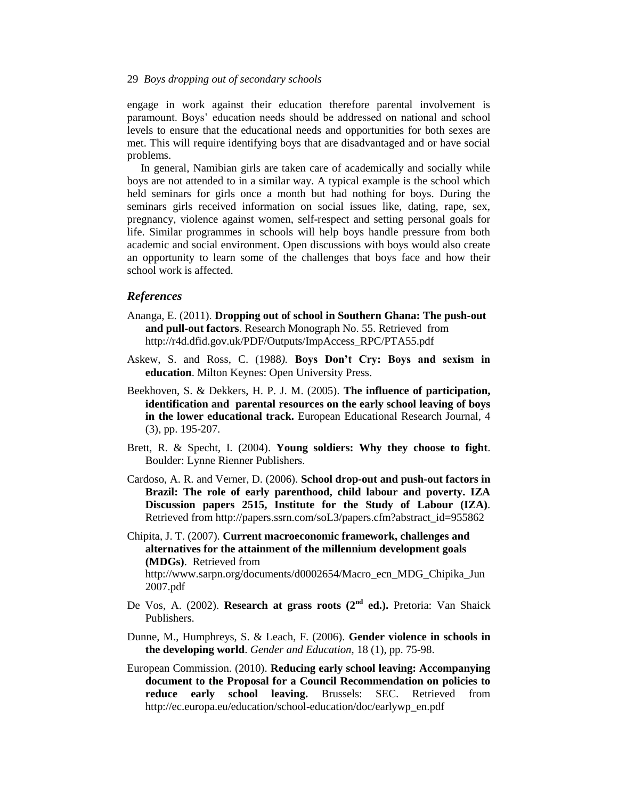engage in work against their education therefore parental involvement is paramount. Boys' education needs should be addressed on national and school levels to ensure that the educational needs and opportunities for both sexes are met. This will require identifying boys that are disadvantaged and or have social problems.

In general, Namibian girls are taken care of academically and socially while boys are not attended to in a similar way. A typical example is the school which held seminars for girls once a month but had nothing for boys. During the seminars girls received information on social issues like, dating, rape, sex, pregnancy, violence against women, self-respect and setting personal goals for life. Similar programmes in schools will help boys handle pressure from both academic and social environment. Open discussions with boys would also create an opportunity to learn some of the challenges that boys face and how their school work is affected.

#### *References*

- Ananga, E. (2011). **Dropping out of school in Southern Ghana: The push-out and pull-out factors**. Research Monograph No. 55. Retrieved from http://r4d.dfid.gov.uk/PDF/Outputs/ImpAccess\_RPC/PTA55.pdf
- Askew, S. and Ross, C. (1988*).* **Boys Don't Cry: Boys and sexism in education**. Milton Keynes: Open University Press.
- Beekhoven, S. & Dekkers, H. P. J. M. (2005). **The influence of participation, identification and parental resources on the early school leaving of boys in the lower educational track.** European Educational Research Journal, 4 (3), pp. 195-207.
- Brett, R. & Specht, I. (2004). **Young soldiers: Why they choose to fight**. Boulder: Lynne Rienner Publishers.
- Cardoso, A. R. and Verner, D. (2006). **School drop-out and push-out factors in Brazil: The role of early parenthood, child labour and poverty. IZA Discussion papers 2515, Institute for the Study of Labour (IZA)***.* Retrieved from http://papers.ssrn.com/soL3/papers.cfm?abstract\_id=955862
- Chipita, J. T. (2007). **Current macroeconomic framework, challenges and alternatives for the attainment of the millennium development goals (MDGs)**. Retrieved from http://www.sarpn.org/documents/d0002654/Macro\_ecn\_MDG\_Chipika\_Jun

2007.pdf

- De Vos, A. (2002). **Research at grass roots (2nd ed.).** Pretoria: Van Shaick Publishers.
- Dunne, M., Humphreys, S. & Leach, F. (2006). **Gender violence in schools in the developing world**. *Gender and Education,* 18 (1), pp. 75-98.
- European Commission. (2010). **Reducing early school leaving: Accompanying document to the Proposal for a Council Recommendation on policies to reduce early school leaving.** Brussels: SEC. Retrieved from http://ec.europa.eu/education/school-education/doc/earlywp\_en.pdf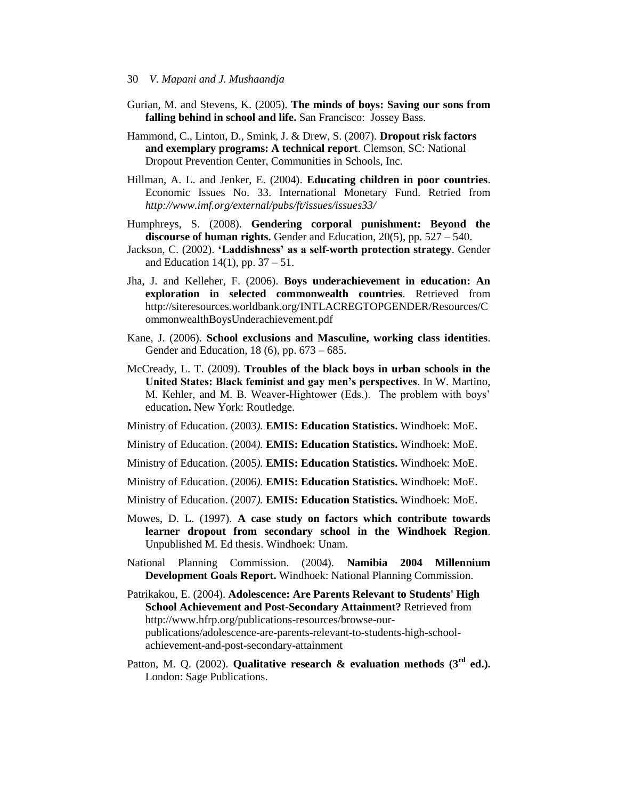- Gurian, M. and Stevens, K. (2005). **The minds of boys: Saving our sons from falling behind in school and life.** San Francisco: Jossey Bass.
- Hammond, C., Linton, D., Smink, J. & Drew, S. (2007). **Dropout risk factors and exemplary programs: A technical report**. Clemson, SC: National Dropout Prevention Center, Communities in Schools, Inc.
- Hillman, A. L. and Jenker, E. (2004). **Educating children in poor countries**. Economic Issues No. 33. International Monetary Fund. Retried from *http://www.imf.org/external/pubs/ft/issues/issues33/*
- Humphreys, S. (2008). **Gendering corporal punishment: Beyond the discourse of human rights.** Gender and Education, 20(5), pp. 527 – 540.
- Jackson, C. (2002). **'Laddishness' as a self-worth protection strategy**. Gender and Education 14(1), pp.  $37 - 51$ .
- Jha, J. and Kelleher, F. (2006). **Boys underachievement in education: An exploration in selected commonwealth countries**. Retrieved from http://siteresources.worldbank.org/INTLACREGTOPGENDER/Resources/C ommonwealthBoysUnderachievement.pdf
- Kane, J. (2006). **School exclusions and Masculine, working class identities**. Gender and Education, 18 (6), pp. 673 – 685.
- McCready, L. T. (2009). **Troubles of the black boys in urban schools in the United States: Black feminist and gay men's perspectives**. In W. Martino, M. Kehler, and M. B. Weaver-Hightower (Eds.). The problem with boys' education**.** New York: Routledge.
- Ministry of Education. (2003*).* **EMIS: Education Statistics.** Windhoek: MoE.
- Ministry of Education. (2004*).* **EMIS: Education Statistics.** Windhoek: MoE.
- Ministry of Education. (2005*).* **EMIS: Education Statistics.** Windhoek: MoE.
- Ministry of Education. (2006*).* **EMIS: Education Statistics.** Windhoek: MoE.
- Ministry of Education. (2007*).* **EMIS: Education Statistics.** Windhoek: MoE.
- Mowes, D. L. (1997). **A case study on factors which contribute towards learner dropout from secondary school in the Windhoek Region**. Unpublished M. Ed thesis. Windhoek: Unam.
- National Planning Commission. (2004). **Namibia 2004 Millennium Development Goals Report.** Windhoek: National Planning Commission.
- Patrikakou, E. (2004). **Adolescence: Are Parents Relevant to Students' High School Achievement and Post-Secondary Attainment?** Retrieved from http://www.hfrp.org/publications-resources/browse-ourpublications/adolescence-are-parents-relevant-to-students-high-schoolachievement-and-post-secondary-attainment
- Patton, M. Q. (2002). **Qualitative research & evaluation methods (3rd ed.).** London: Sage Publications.